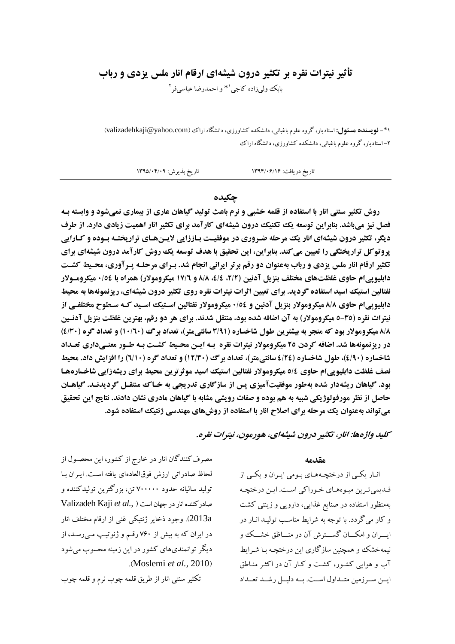## تأثیر نیترات نقره بر تکثیر درون شیشهای ارقام انار ملس یزدی و رباب بابک ولي زاده کاجي <sup>۱</sup>\* و احمدرضا عباسي فر <sup>۲</sup>

(\*- **نویسنده هسئول:** استادیار، گروه علوم باغیانی، دانشکده کشاورزی، دانشگاه اراک (valizadehkaji@yahoo.com) ۲- استادیار، گروه علوم باغبانی، دانشکده کشاورزی، دانشگاه اراک

> تاريخ پذيرش: ١٣٩٥/٠۴/٠٩ تاریخ دریافت: ۱۳۹۴/۰۶/۱۶

#### حكىدە

روش تکثیر سنتی انار با استفاده از قلمه خشبی و نرم باعث تولید گیاهان عاری از بیماری نمیشود و وابسته بـه فصل نیز میباشد. بنابراین توسعه یک تکنیک درون شیشهای کارآمد برای تکثیر انار اهمیت زیادی دارد. از طرف دیگر، تکثیر درون شیشهای انار یک مرحله ضروری در موفقیت بـاززایی لایـن&ای تراریختـه بـوده و کـارایی پروتوکل تراریختگی را تعیین می کند. بنابراین، این تحقیق با هدف توسعه یک روش کارآمد درون شیشهای برای **تکثیر ارقام انار ملس یزدی و رباب بهعنوان دو رقم برتر ایرانی انجام شد. برای مرحلـه پـرآوری، محـیط کشـت** دابلیویی ام حاوی غلظتهای مختلف بنزیل آدنین (٢/٢، ٤/٤، ٨/٨ و ١٧/٦ میکرومولار) همراه با ١٥٤٠ میکرومـولار نفتالین استیک اسید استفاده گردید. برای تعیین اثرات نیترات نقره روی تکثیر درون شیشهای، ریزنمونهها به محیط دابلیوپیام حاوی ۸/۸ میکرومولار بنزیل آدنین و ۰/٥٤ میکرومولار نفتالین اسـتیک اسـید کـه سـطوح مختلفـی از نیترات نقره (30-٥ میکرومولار) به آن اضافه شده بود، منتقل شدند. برای هر دو رقم، بهترین غلظت بنزیل آدنـین 8/8 میکرومولار بود که منجر به بیشترین طول شاخساره (۳/۹۱ سانتی متر)، تعداد برگ (۱۰/٦٠) و تعداد گره (٤/٣٠) در ریزنمونهها شد. اضافه کردن ۲٥ میکرومولار نیترات نقره بـه ایـن محـیط کشـت بـه طـور معنـیداری تعـداد شاخساره (90%)، طول شاخساره (126 سانتي متر)، تعداد برگ (12/30) و تعداد گره (1/10) را افزايش داد. محيط نصف غلظت دابلیوییام حاوی ٥/٤ میکرومولار نفتالین استیک اسید موثرترین محیط برای ریشهزایی شاخسارهها بود. گیاهان ریشهدار شده بهطور موفقیتآمیزی پس از سازگاری تدریجی به خـاک منتقـل گردیدنـد. گیاهـان حاصل از نظر مورفولوژیکی شبیه به هم بوده و صفات رویشی مشابه با گیاهان مادری نشان دادند. نتایج این تحقیق می تواند بهعنوان یک مرحله برای اصلاح انار با استفاده از روشهای مهندسی ژنتیک استفاده شود.

كليد واژهها: انار، تكثير درون شيشهاي، هورمون، نيترات نقره.

مصرف کنندگان انار در خارج از کشور، این محصـول از لحاظ صادراتي ارزش فوقالعادهاي يافته است. ايـران بـا توليد ساليانه حدود ٧٠٠٠٠٠ تن، بزرگترين توليدكننده و Valizadeh Kaji et al., ) صادر كننده انار در جهان است 2013a). وجود ذخاير ژنتيكي غني از ارقام مختلف انار در ایران که به بیش از ۷۶۰ رقـم و ژنوتیـپ مـی(سـد، از دیگر توانمندیهای کشور در این زمینه محسوب می شود .(Moslemi et al., 2010)

تکثیر سنتی انار از طریق قلمه چوب نرم و قلمه چوب

#### مقدمه

انـار یکـي از درختچـههـاي بـومي ايـران و یکـي از قـدیمیترین میـوههـای خـوراکی اسـت. ایـن درختچـه بهمنظور استفاده در صنایع غذایی، دارویی و زینتی کشت و کار میگردد. با توجه به شرایط مناسب تولیـد انـار در ايسران و امكسان گسسترش آن در منساظق خشسك و نبمهخشک و همچنین سازگاری این درختچـه بـا شـرایط آب و هوایی کشور، کشت و کیار آن در اکثر مناطق ايــن ســرزمين متــداول اســت. بــه دليــل رشــد تعــداد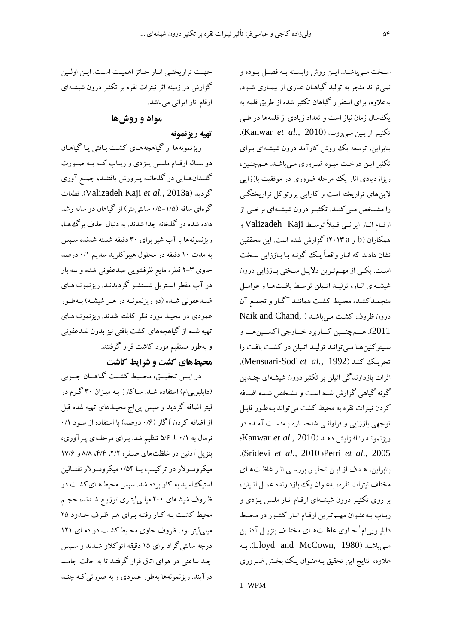سـخت مـي باشـد. ايــن روش وابســته بــه فصــل بــوده و نمی تواند منجر به تولید گیاهـان عـاری از بیمـاری شـود. .<br>بهعلاوه، برای استقرار گیاهان تکثیر شده از طریق قلمه به یک سال زمان نیاز است و تعداد زیادی از قلمهها در طبی .Kanwar et al., 2010). بنابراین، توسعه یک روش کارآمد درون شیشـهای بـرای تکثیر این درخت میوه ضروری مبی باشد. همچنین، ریزازدیادی انار یک مرحله ضروری در موفقیت باززایی لاینهای تراریخته است و کارایی پروتوکل تراریختگی را مشـخص مـی کنــد. تکثیــر درون شیشــهای برخــی از ارقام انبار ايرانسي قبلاً توسط Valizadeh Kaji همکاران (b و ۲۰۱۳a) گزارش شده است. این محققین نشان دادند که انـار واقعـاً یـک گونـه بـا بـاززایی سـخت است. یکمی از مهم ترین دلایل سختی باززایی درون شیشهای انبار، تولیبد اتیلن توسط بافتها و عوامیل منجمـدكننـده محـيط كشـت هماننـد آگـار و تجمـع آن درون ظروف كشت مى باشد ( Naik and Chand, .<br>2011). هــم چنــين كــاربرد خــارجي اكســين هــا و سیتوکنین ها مبی توانید تولیید اتیلن در کشت بافت را .(Mensuari-Sodi et al., 1992). اثرات بازدارندگی اتبلن بر تکثیر درون شبشـهای چنـدین گونه گیاهی گزارش شده است و مشخص شـده اضـافه کردن نیترات نقره به محیط کشت می تواند بـهطـور قابـل توجهی باززایی و فراوانبی شاخساره بـهدسـت آمـده در (يزنمونه را افزايش دهد (Kanwar et al., 2010)؛ .(Sridevi et al., 2010 :Petri et al., 2005 بنابراین، هـدف از ایـن تحقیـق بررسـی اثـر غلظـتهـای مختلف نیترات نقره، بهعنوان یک بازدارنده عمـل اتـیلن، بر روی تکثیر درون شیشهای ارقـام انـار ملـس یـزدی و رباب بهعنوان مهم ترين ارقام انار كشور در محيط دابليـويى١م ' حـاوى غلظـتهـاي مختلـف بنزيـل آدنـين مبی باشید (Lloyd and McCown, 1980). بیه علاوه، نتايج اين تحقيق بـهعنـوان يـك بخـش ضـروري

جهت تراريختبي انار حائز اهميت است. اين اولين گزارش در زمینه اثر نیترات نقره بر تکثیر درون شیشهای ارقام انار ایرانی میباشد.

مواد و روشها

تهيه ريزنمونه

ریزنمونهها از گیاهچههـای کشـت بـافتی یـا گیاهـان دو سـاله ارقـام ملـس يـزدي و ربـاب كـه بـه صـورت گلـدانهـايي در گلخانــه پــرورش يافتنــد، جمــع آوري گرديد (Valizadeh Kaji et al., 2013a). قطعات گرهای ساقه (۱/۵–۰/۵ سانتی متر) از گیاهان دو ساله رشد داده شده در گلخانه جدا شدند. به دنبال حذف برگءها، ریزنمونهها با آب شیر برای ۳۰ دقیقه شسته شدند، سـیس به مدت ۱۰ دقیقه در محلول هیپوکلرید سدیم ۰/۱ درصد حاوی ۳-۲ قطره مایع ظرفشویی ضدعفونی شده و سه بار در آب مقطر اسـتریل شستشـو گردیدنـد. ریزنمونـههـای ضـدعفوني شـده (دو ريزنمونـه در هـر شيشـه) بـهطـور عمودی در محیط مورد نظر کاشته شدند. ریزنمونـههـای تهیه شده از گیاهچههای کشت بافتی نیز بدون ضدعفونی و بهطور مستقیم مورد کاشت قرار گرفتند.

## محیطهای کشت و شرایط کاشت

در ايـــن تحقيـــق، محـــيط كشــت گياهـــان چــوبي (دابلیوییام) استفاده شـد. سـاکارز بـه میـزان ۳۰ گـرم در لیتر اضافه گردید و سپس پی|چ محیطهای تهیه شده قبل از اضافه کردن آگار (۰/۶ درصد) با استفاده از سـود ۰/۱ نرمال به ۰/۱ ± ۵/۶ تنظیم شد. بـرای مرحلـهی پـرآوری، بنزیل آدنین در غلظتهای صفر، ۲/۲، ۴/۴، ۸/۸ و ۱۷/۶ میکرومولار در ترکیب بــا ۰/۵۴ میکرومــولار نفتــالین استیک اسید به کار برده شد. سیس محیطهای کشت در ظروف شیشهای ۲۰۰ میلـیلیتـری توزیـع شـدند، حجـم محیط کشت به کار رفته برای هر ظرف حدود ۲۵ میلی لیتر بود. ظروف حاوی محیط کشت در دمـای ۱۲۱ درجه سانتی گراد برای ۱۵ دقیقه اتوکلاو شـدند و سـپس چند ساعتی در هوای اتاق قرار گرفتند تا به حالت جامـد درآیند. ریزنمونهها بهطور عمودی و به صورتی کـه چنـد

 $1 - WPM$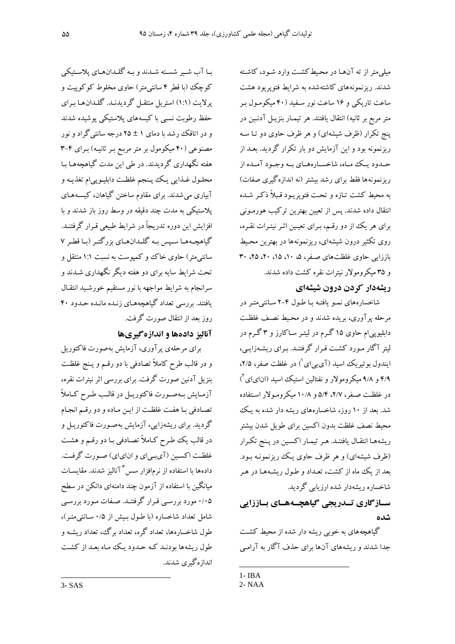میلی متر از ته آنها در محیط کشت وارد شـود، کاشـته شدند. ریزنمونههای کاشتهشده به شرایط فتوپریود هشت ساعت تاریکی و ۱۶ ساعت نور سـفید (۴۰ میکومـول بـر متر مربع بر ثانیه) انتقال یافتند. هر تیمـار بنزیـل آدنـین در پنج تکرار (ظرف شیشهای) و هر ظرف حاوی دو تـا سـه ریزنمونه بود و این آزمایش دو بار تکرار گردید. بعـد از حـدود بــک مـاه، شاخســارههــاي سه وجــود آمــده از ریزنمونهها فقط برای رشد بیشتر (نه اندازهگیری صفات) به محیط کشت تـازه و تحـت فتوپریـود قـبلاً ذکـر شـده انتقال داده شدند. پس از تعیین بهترین ترکیب هورمـونی برای هر یک از دو رقم، بـرای تعیـین اثـر نیتـرات نقـره، روی تکثیر درون شیشهای، ریزنمونهها در بهترین محیط باززایی حاوی غلظتهای صفر، ۵، ۱۰، ۱۵، ۲۰، ۲۵، ۳۰ و ۳۵ میکرومولار نبترات نقره کشت داده شدند.

### ریشهدار کردن درون شیشهای

شاخسارههای نمـو یافتـه بـا طـول ۴-۲ سـانتی،متـر در مرحله پرآوری، بریده شدند و در محیط نصف غلظت دابلیوپیام حاوی ۱۵ گرم در لیتـر سـاکارز و ۳ گـرم در لیتر آگار مـورد کشـت قـرار گرفتنـد. بـرای ریشـهزایـی، ابندول بو تیریک اسبد (آی بی ای<sup>\</sup>) در غلظت صفر، ۲/۵، ۴/۹ و ۹/۸ میکرومولار و نفتالین استیک اسید (انایای آ) در غلظت صفر، ۲/۷، ۵/۴ و ۱۰/۸ میکرومولار استفاده شد. بعد از ۱۰ روز، شاخسارههای ریشه دار شده به یک محيط نصف غلظت بدون اكسين براي طويل شدن بيشتر ريشههـا انتقـال يافتنـد. هـر تيمـار اكسـين در پـنج تكـرار (ظرف شیشهای) و هر ظرف حاوی یک ریزنمونـه بـود. بعد از یک ماه از کشت، تعـداد و طـول ریشـههـا در هـر شاخساره ریشهدار شده ارزیابی گردید.

## سـازگاری تــدریجی گیاهچــههــای بــاززایی شده

گباهچههای به خوبی ریشه دار شده از محبط کشت جدا شدند و ریشههای آنها برای حذف آگار به آرامبی

بـا آب شـير شسـته شـدند و بـه گلـدانهـاي پلاسـتيکي کوچک (با قطر ۴ سانتیمتر) حاوی مخلوط کوکوپیت و پرلایت (۱:۱) استریل منتقـل گردیدنـد. گلـدانهـا بـرای حفظ رطوبت نسبی با کیسههای پلاستیکی پوشیده شدند و در اتاقک رشد با دمای ۱ ± ۲۵ درجه سانتی گراد و نور مصنوعی (۴۰ میکومول بر متر مربع بـر ثانیـه) بـرای ۴-۳ هفته نگهداری گردیدند. در طی این مدت گباهچههـا سا محلـول غــذايي يـك يـنجم غلظـت دابليـويي ام تغذيـه و آبیاری می شدند. برای مقاوم ساختن گیاهان، کیسـههـای پلاستیکی به مدت چند دقیقه در وسط روز باز شدند و با افزایش این دوره تدریجاً در شرایط طبیعی قـرار گرفتنــد. گیاهچـههـا سـیس بـه گلـدانهـای بزرگتـر (بـا قطـر ۷ سانتی متر) حاوی خاک ووکمپوست به نسبت ۱:۱ منتقل و تحت شرایط سایه برای دو هفته دیگر نگهداری شـدند و سرانجام به شرايط مواجهه با نور مستقيم خورشـيد انتقـال یافتند. بررسی تعداد گیاهچههـای زنـده مانـده حـدود ۴۰ روز بعد از انتقال صورت گرفت.

## آناليز دادهها و اندازه گيريها

برای مرحلهی پرآوری، آزمایش بهصورت فاکتوریل و در قالب طرح کاملاً تصادفی با دو رقـم و پـنج غلظـت بنزیل آدنین صورت گرفت. برای بررسی اثر نیترات نقره، آزمـايش بـهصـورت فاكتوريـل در قالـب طـرح كـاملاً تصادفي بـا هفـت غلظـت از ايـن مـاده و دو رقـم انجـام گردید. برای ریشهزایی، آزمایش بهصورت فاکتوریـل و در قالب یک طرح کـاملاً تصـادفی بـا دو رقـم و هشـت غلظت اکسین (آیبیای و انایای) صورت گرفت. دادهها با استفاده از نرمافزار سس ۳ آنالیز شدند. مقایسـات میانگین با استفاده از آزمون چند دامنهای دانکن در سطح ۰/۰۵ مورد بررسی قـرار گرفتنـد. صـفات مـورد بررسـی شامل تعداد شاخساره (با طـول بـیش از ۰/۵ سـانتی متـر)، طول شاخسارهها، تعداد گره، تعداد برگ، تعداد ر ىشـه و طول ریشهها بودنـد کـه حـدود یـک ماه بعـد از کشـت اندازهگیری شدند.

 $1 - IBA$ 

 $2 - NAA$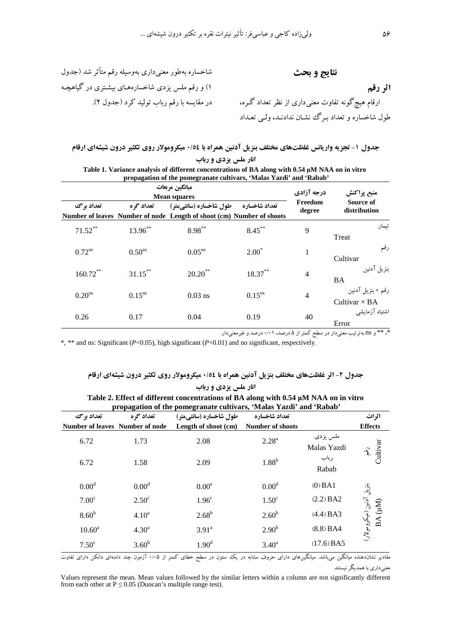شاخساره بهطور معنىدارى بهوسيله رقم متأثر شد (جدول نتايج و بحث ۱) و رقم ملس یزدی شاخسارههای بیشتری در گیاهچـه اثر رقم -<br>ارقام هیچگونه تفاوت معنی۱داری از نظر تعداد گـره، در مقایسه با رقم رباب تولید کرد (جدول ۲). طول شاخساره و تعداد بـرگ نشـان ندادنـد، ولـبي تعــداد

|                      | ميانگين مربعات<br><b>Mean squares</b> | درجه آزادی                                                                                      | منبع پراکنش   |                   |                                           |
|----------------------|---------------------------------------|-------------------------------------------------------------------------------------------------|---------------|-------------------|-------------------------------------------|
| تعداد برگ            | تعداد گ ه                             | طول شاخساره (سانتیمتر)<br>Number of leaves Number of node Length of shoot (cm) Number of shoots | تعداد شاخساره | Freedom<br>degree | Source of<br>distribution                 |
| $71.52***$           | $13.96***$                            | $8.98***$                                                                                       | $8.45***$     | 9                 | تىمار<br>Treat                            |
| $0.72$ <sup>ns</sup> | $0.50$ <sup>ns</sup>                  | 0.05 <sup>ns</sup>                                                                              | $2.00*$       | 1                 | رقم<br>Cultivar                           |
| $160.72***$          | $31.15***$                            | $20.20$ **                                                                                      | $18.37***$    | $\overline{4}$    | بنزيل آدنين<br><b>BA</b>                  |
| 0.20 <sup>ns</sup>   | $0.15^{ns}$                           | $0.03$ ns                                                                                       | $0.15^{ns}$   | $\overline{4}$    | رقم × بنزيل آدنين<br>Cultivar $\times$ BA |
| 0.26                 | 0.17                                  | 0.04                                                                                            | 0.19          | 40                | اشتباه آزمايشي<br>Error                   |

| Table 1. Variance analysis of different concentrations of BA along with 0.54 µM NAA on in vitro |
|-------------------------------------------------------------------------------------------------|
| propagation of the pomegranate cultivars, 'Malas Yazdi' and 'Rabab'                             |

\*، \*\* و ns بهترتیب معنیدار در سطح کمتر از ۵ درصد، ۰/۰۱ درصد و غیرمعنیدار.

\*, \*\* and ns: Significant ( $P<0.05$ ), high significant ( $P<0.01$ ) and no significant, respectively.

### جدول ۲- اثر غلظتهای مختلف بنزیل آدنین همراه با ۰/٥٤ میکرومولار روی تکثیر درون شیشهای ارقام انار ملس یزدی و رباب

|                                 | Twore $\blacksquare$ . Enter of units the concentrations of $D_{11}$ arong with one rather on in the o<br>propagation of the pomegranate cultivars, 'Malas Yazdi' and 'Rabab' |                        |                         |                         |                                     |  |  |
|---------------------------------|-------------------------------------------------------------------------------------------------------------------------------------------------------------------------------|------------------------|-------------------------|-------------------------|-------------------------------------|--|--|
| تعداد برگ                       | تعداد گره                                                                                                                                                                     | طول شاخساره (سانتیمتر) | تعداد شاخساره           |                         | اثرات                               |  |  |
| Number of leaves Number of node |                                                                                                                                                                               | Length of shoot (cm)   | <b>Number of shoots</b> |                         | <b>Effects</b>                      |  |  |
| 6.72                            | 1.73                                                                                                                                                                          | 2.08                   | $2.28^{a}$              | ملس يزدي<br>Malas Yazdi | Cultivar                            |  |  |
| 6.72                            | 1.58                                                                                                                                                                          | 2.09                   | $1.88^b$                | رباب<br>Rabab           |                                     |  |  |
| 0.00 <sup>d</sup>               | 0.00 <sup>d</sup>                                                                                                                                                             | 0.00 <sup>e</sup>      | 0.00 <sup>d</sup>       | $(0)$ BA1               |                                     |  |  |
| 7.00 <sup>c</sup>               | $2.50^{\circ}$                                                                                                                                                                | 1.96 <sup>c</sup>      | 1.50 <sup>c</sup>       | (2.2) BA2               |                                     |  |  |
| 8.60 <sup>b</sup>               | 4.10 <sup>a</sup>                                                                                                                                                             | $2.68^{b}$             | 2.60 <sup>b</sup>       | (4.4) BA3               | بنزیل آدنین (میکرومولار)<br>BA (µM) |  |  |
| $10.60^a$                       | 4.30 <sup>a</sup>                                                                                                                                                             | $3.91^{\circ}$         | 2.90 <sup>b</sup>       | (8.8) BAA               |                                     |  |  |
| 7.50 <sup>c</sup>               | 3.60 <sup>b</sup>                                                                                                                                                             | 1.90 <sup>d</sup>      | $3.40^{\rm a}$          | $(17.6)$ BA5            |                                     |  |  |

| Table 2. Effect of different concentrations of BA along with $0.54 \mu M NAA$ on in vitro |  |
|-------------------------------------------------------------------------------------------|--|
| propagation of the pomegranate cultivars, 'Malas Yazdi' and 'Rabab'                       |  |

.<br>مقادیر نشاندهنده میانگین میباشد. میانگینهای دارای حروف مشابه در یک ستون در سطح خطای کمتر از ۰/۰۵ آزمون چند دامنهای دانکن دارای تفاوت معنی داری با همدیگر نیستند.

Values represent the mean. Mean values followed by the similar letters within a column are not significantly different from each other at  $P \le 0.05$  (Duncan's multiple range test).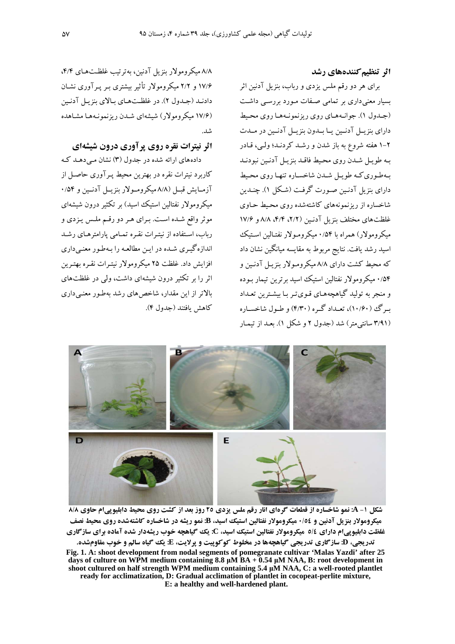### اثر تنظیم کنندههای رشد

برای هر دو رقم ملس یزدی و رباب، بنزیل آدنین اثر بسیار معنی داری بر تمامی صفات مورد بررسبی داشت (جدول ۱). جوانههای روی ریزنمونهها روی محیط دارای بنزیـل آدنـین یــا بــدون بنزیــل آدنــین در مــدت ۲–۱ هفته شروع به باز شدن و رشـد کردنـد؛ ولـی، قـادر بـه طويـل شـدن روى محـيط فاقـد بنزيـل آدنـين نبودنـد بهطوري كه طويل شدن شاخساره تنها روى محبط دارای بنزیل آدنین صورت گرفت (شکل ۱). چندین شاخساره از ریزنمونههای کاشتهشده روی محبط حـاوی غلظتهای مختلف بنزیل آدنـین (۲/۲، ۴/۴، ۸/۸ و ۱۷/۶ میکرومولار) همراه با ۰/۵۴ میکرومـولار نفتـالین اسـتیک اسید رشد یافت. نتایج مربوط به مقایسه میانگین نشان داد که محبط کشت دارای ۸/۸ میکرومولار پنزیل آدنین و ۰/۵۴ میکرومولار نفتالین استیک اسید برترین تیمار بـوده و منجر به تولید گیاهچههـای قـویتـر بـا بیشـترین تعـداد سرگ (۱۰/۶۰)، تعبداد گیره (۴/۳۰) و طبول شاخسیاره (۳/۹۱ سانتی متر) شد (جدول ۲ و شکل ۱). بعد از تبمار

۸/۸ میکرومولار بنزیل آدنین، به ترتیب غلظتهای ۴/۴، ۱۷/۶ و ۲/۲ میکرومولار تأثیر بیشتری بـر پـر آوری نشـان دادنـد (جـدول ۲). در غلظـتهـای بالای بنزیـل آدنـین (۱۷/۶ میکرومولار) شیشهای شیدن ریزنمونیهها مشاهده

## اثر نیترات نقره روی پر آوری درون شیشهای

دادههای ارائه شده در جدول (۳) نشان مبی دهـد کـه کاربرد نیترات نقره در بهترین محیط پـر آوری حاصـل از آزمایش قبل (۸/۸ میکرومولار بنزیبل آدنبین و ۰/۵۴ میکرومولار نفتالین استیک اسید) بر تکثیر درون شیشهای موثر واقع شـده اسـت. بـراي هـر دو رقـم ملـس يـزدي و رباب، استفاده از نیترات نقره تمامی پارامترهای رشد اندازهگیری شده در این مطالعه را بهطور معنبیداری افزایش داد. غلظت ۲۵ میکرومولار نبته ات نقیره بهترین اثر را بر تکثیر درون شیشهای داشت، ولی در غلظتهای بالاتر از این مقدار، شاخصهای رشد بهطور معنـیداری كاهش بافتند (جدول ۴).



شکل ۱- A: نمو شاخساره از قطعات گرهای انار رقم ملس یزدی ۲٥ روز بعد از کشت روی محیط دابلیوپیام حاوی ۸/۸ میکرومولار بنزیل آدنین و ۰/٥٤ میکرومولار نفتالین استیک اسید، B: نمو ریشه در شاخساره کاشتهشده روی محیط نصف غلظت دابلیوییام دارای ٥/٤ میکرومولار نفتالین استیک اسید، C: یک گیاهچه خوب ریشهدار شده آماده برای سازگاری تدريجي، D: سازگاري تدريجي گياهچهها در مخلوط كوكوييت و يرلايت، E: يك گياه سالم و خوب مقاومشده. Fig. 1. A: shoot development from nodal segments of pomegranate cultivar 'Malas Yazdi' after 25 days of culture on WPM medium containing 8.8  $\mu$ M BA + 0.54  $\mu$ M NAA, B: root development in shoot cultured on half strength WPM medium containing 5.4 µM NAA, C: a well-rooted plantlet ready for acclimatization, D: Gradual acclimation of plantlet in cocopeat-perlite mixture,

E: a healthy and well-hardened plant.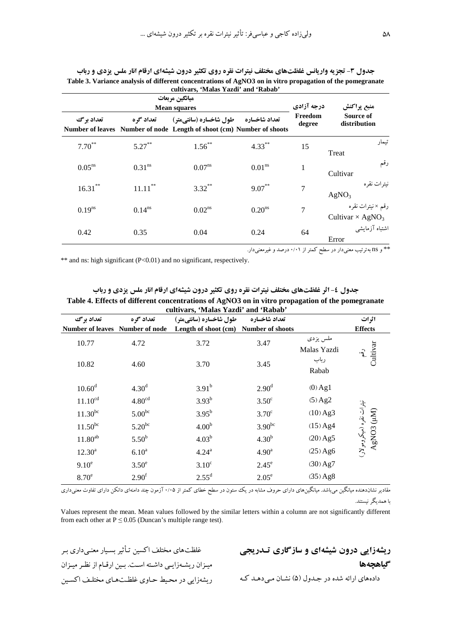|                    |                      | ميانگين مربعات<br><b>Mean squares</b>                                                           |                    | درجه آزادی        | منبع پراکنش                                              |
|--------------------|----------------------|-------------------------------------------------------------------------------------------------|--------------------|-------------------|----------------------------------------------------------|
| تعداد بر گ         | تعداد گ ه            | طول شاخساره (سانتيمتر)<br>Number of leaves Number of node Length of shoot (cm) Number of shoots | تعداد شاخساره      | Freedom<br>degree | Source of<br>distribution                                |
| $7.70^{**}$        | $5.27***$            | $1.56***$                                                                                       | $4.33***$          | 15                | تىمار<br>Treat                                           |
| 0.05 <sup>ns</sup> | $0.31$ <sup>ns</sup> | 0.07 <sup>ns</sup>                                                                              | 0.01 <sup>ns</sup> | 1                 | رقم<br>Cultivar                                          |
| $16.31***$         | $11.11***$           | $3.32***$                                                                                       | $9.07***$          | 7                 | نيترات نقره<br>AgNO <sub>3</sub>                         |
| $0.19^{ns}$        | $0.14^{ns}$          | 0.02 <sup>ns</sup>                                                                              | 0.20 <sup>ns</sup> | 7                 | رقم × نيترات نقره<br>Cultivar $\times$ AgNO <sub>3</sub> |
| 0.42               | 0.35                 | 0.04                                                                                            | 0.24               | 64                | اشتباه آزمايشي<br>Error                                  |

جدول ۳- تجزیه واریانس غلظتهای مختلف نیترات نقره روی تکثیر درون شیشهای ارقام انار ملس یزدی و رباب **Table 3. Variance analysis of different concentrations of AgNO3 on in vitro propagation of the pomegranate cultivars, 'Malas Yazdi' and 'Rabab'** 

ه و ns به ترتیب معنیدار در سطح کمتر از ۰/۰۱ درصد و غیرمعنیدار. \*

\*\* and ns: high significant (P<0.01) and no significant, respectively.

جدول ٤- اثر غلظتهای مختلف نیترات نقره روی تکثیر درون شیشه**ای ارقام انار ملس یزدی و رباب Table 4. Effects of different concentrations of AgNO3 on in vitro propagation of the pomegranate** 

|                                 |                    | cultivars, 'Malas Yazdi' and 'Rabab'  |                   |                         |                                        |
|---------------------------------|--------------------|---------------------------------------|-------------------|-------------------------|----------------------------------------|
| تعداد برگ                       | تعداد گره          | طول شاخساره (سانتیمتر)                | تعداد شاخساره     |                         | اثرات                                  |
| Number of leaves Number of node |                    | Length of shoot (cm) Number of shoots |                   |                         | <b>Effects</b>                         |
| 10.77                           | 4.72               | 3.72                                  | 3.47              | ملس يزدى<br>Malas Yazdi | Jultivar<br>$\widehat{\mathfrak{c}}$   |
| 10.82                           | 4.60               | 3.70                                  | 3.45              | رباب<br>Rabab           |                                        |
| $10.60^d$                       | 4.30 <sup>d</sup>  | $3.91^{b}$                            | 2.90 <sup>d</sup> | $(0)$ Ag <sub>1</sub>   |                                        |
| $11.10^{cd}$                    | 4.80 <sup>cd</sup> | $3.93^{b}$                            | $3.50^{\circ}$    | $(5)$ Ag2               |                                        |
| $11.30^{bc}$                    | $5.00^{bc}$        | $3.95^{b}$                            | $3.70^{\circ}$    | $(10)$ Ag3              | نیټرات نقره (میکرومولار)<br>AgNO3 (MI) |
| $11.50^{bc}$                    | $5.20^{bc}$        | 4.00 <sup>b</sup>                     | $3.90^{bc}$       | $(15)$ Ag4              |                                        |
| $11.80^{ab}$                    | 5.50 <sup>b</sup>  | $4.03^{b}$                            | 4.30 <sup>b</sup> | $(20)$ Ag5              |                                        |
| $12.30^a$                       | 6.10 <sup>a</sup>  | 4.24 <sup>a</sup>                     | 4.90 <sup>a</sup> | $(25)$ Ag6              |                                        |
| 9.10 <sup>e</sup>               | $3.50^e$           | $3.10^{\circ}$                        | $2.45^e$          | $(30)$ Ag7              |                                        |
| $8.70^e$                        | 2.90 <sup>f</sup>  | $2.55^{\rm d}$                        | $2.05^e$          | $(35)$ Ag <sub>8</sub>  |                                        |

مقادير نشاندهنده ميانگين مي!شد. ميانگينهاى داراى حروف مشابه در يك ستون در سطح خطاى كمتر از ۰/۰۵ آزمون چند دامند و است و ارى تعاوت معنىدارى ىا ھمدىگە نېستند.

Values represent the mean. Mean values followed by the similar letters within a column are not significantly different from each other at  $P \le 0.05$  (Duncan's multiple range test).

غلظتهای مختلف اکسین تـأثیر بسـیار معنـی داری بـر ميـزان ريشـهزايـي داشـته است. بـين ارقـام از نظـر ميـزان ريشهزايي در محيط حـاوى غلظـتهـاي مختلـف اكسـين

**ریشهزایی درون شیشهای و سازگاری تـدریجی** گیاهچهه**ا** دادههای ارائه شده در جـدول (۵) نشـان مـیدهـد کـه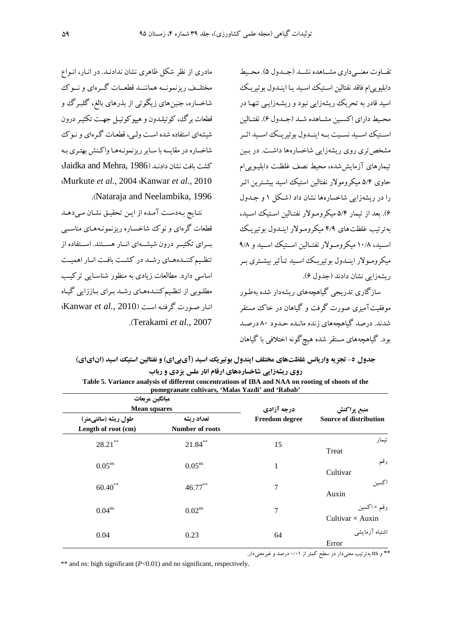تفياوت معنيے داري مشياهده نشيد (جيدول ۵). محيط دابليويي ام فاقد نفتالين استيك اسـيد يـا اينـدول بوتيريـك اسید قادر به تحریک ریشهزایی نبود و ریشـهزایـی تنهـا در محـبط داراي اكســبن مشــاهده شــد (جــدول ۶). نفتــالبن اســتيك اســيد نســيت بــه اينــدول بو تيريــك اســيد اثــر .<br>مشخص تری روی ریشهزایی شاخسارهها داشت. در پ تیمارهای آزمایششده، محیط نصف غلظت دابلیـویی/م حاوی ۵/۴ میکرومولار نفتالین استیک اسید بیشـترین اثـر را در ریشهزایی شاخسارهها نشان داد (شکل ۱ و جـدول ۶). بعد از تیمار ۵/۴ میکرومولار نفتـالین اسـتیک اسـید، په ترتیب غلظتهای ۴/۹ میکرومولار اینیدول یوتیریک اسـيد، ١٠/٨ ميكرومـولار نفتـالين اسـتيك اسـيد و ٩/٨ میکرومولار اینــدول بوتیریــک اســید تــأثیر بیشــتری بــر ريشەزايي نشان دادند (جدول ۶).

سازگاری تدریحی گیاهجههای ریشهدار شده بهطور موفقیت آمیزی صورت گرفت و گیاهان در خاک مستقر شدند. درصد گباهچههای زنده مانـده حـدود ۸۰ درصـد بود. گیاهچههای مستقر شده هیچگونه اختلافی با گیاهان

مادری از نظر شکل ظاهری نشان ندادنـد. در انـار، انـواع مختلــف ریزنمونــه هماننــد قطعــات گــرهای و نــوک شاخساره، جنینهای زیگوتی از بذرهای بالغ، گلبـرگ و ۔<br>قطعات برگ، کوتیلـدون و هیپوکوتیـل جهـت تکثیـر درون .<br>شیشهای استفاده شده است ولی<sub>،</sub>، قطعیات گروای و نبو ک .<br>شاخساره در مقابسه با سیابر ریزنمونیهها واکنش بهتری به لكشت مافت نشان دادنـد (Jaidka and Mehra, 1986 Murkute et al., 2004 (Kanwar et al., 2010) .(Nataraja and Neelambika, 1996).

نتايج بـهدسـت آمـده از ايـن تحقيـق نشـان مـىدهـد قطعات گرهای و نوک شاخساره ریزنمونـههـای مناسـبی بسرای تکثیــر درون شیشــهای انــار هســتند. اســتفاده از تنظیم کننـدههـای رشـد در کشـت بافـت انـار اهمیـت اساسی دارد. مطالعات زیادی به منظور شناسایی ترکیب .<br>مطلـوبي از تنظـيمکننـدههـاي رشـد بـراي بـاززايي گيـاه انبار صورت گرفته است (Kanwar et al., 2010): .(Terakami et al., 2007).

|  | جدول ٥- تجزیه واریانس غلظتهای مختلف ایندول بوتیریک اسید (ای.پی)ی) و نفتالین استیک اسید (انایای) |  |  |  |
|--|-------------------------------------------------------------------------------------------------|--|--|--|
|  | <b>روی ریشهزایی شاخسارههای ارقام انار ملس یزدی و رباب</b>                                       |  |  |  |

|                                            | ميانگين مربعات                                         |    |                                              |  |
|--------------------------------------------|--------------------------------------------------------|----|----------------------------------------------|--|
|                                            | <b>Mean squares</b>                                    |    | منبع پراکنش<br><b>Source of distribution</b> |  |
| طول ریشه (سانتیمتر)<br>Length of root (cm) | تعداد ريشه<br><b>Freedom</b> degree<br>Number of roots |    |                                              |  |
| $28.21$ **                                 | $21.84***$                                             | 15 | تيمار<br>Treat                               |  |
| 0.05 <sup>ns</sup>                         | $0.05^{ns}$                                            | 1  | رقم<br>Cultivar                              |  |
| $60.40***$                                 | $46.77***$                                             | 7  | اكسين<br>Auxin                               |  |
| 0.04 <sup>ns</sup>                         | 0.02 <sup>ns</sup>                                     | 7  | رقم ×اكسين<br>Cultivar $\times$ Auxin        |  |
| 0.04                                       | 0.23                                                   | 64 | اشتباه آزمايشي<br>Error                      |  |

| Table 5. Variance analysis of different concentrations of IBA and NAA on rooting of shoots of the |  |
|---------------------------------------------------------------------------------------------------|--|
| pomegranate cultivars, 'Malas Yazdi' and 'Rabab'                                                  |  |

\*\* و ns به ترتیب معنیدار در سطح کمتر از ۰/۰۱ درصد و غیرمعنیدار.

\*\* and ns: high significant  $(P<0.01)$  and no significant, respectively.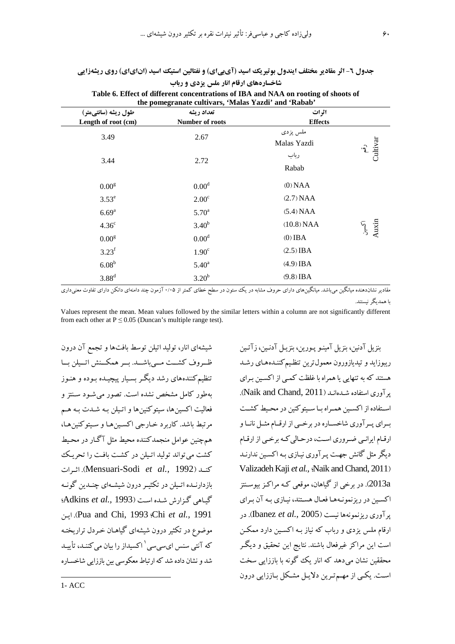# جدول ٦- اثر مقادیر مختلف ایندول بوتیریک اسید (آیبیای) و نفتالین استیک اسید (انایای) روی ریشهزایی

| Table 6. Effect of different concentrations of IBA and NAA on rooting of shoots of<br>the pomegranate cultivars, 'Malas Yazdi' and 'Rabab' |                               |                         |                                |  |
|--------------------------------------------------------------------------------------------------------------------------------------------|-------------------------------|-------------------------|--------------------------------|--|
| طول ریشه (سانتیمتر)<br>Length of root (cm)                                                                                                 | تعداد ريشه<br>Number of roots | اثرات<br><b>Effects</b> |                                |  |
| 3.49                                                                                                                                       | 2.67                          | ملس يزدى<br>Malas Yazdi | Cultivar<br>$\hat{\mathbf{f}}$ |  |
| 3.44                                                                                                                                       | 2.72                          | رباب<br>Rabab           |                                |  |
| 0.00 <sup>g</sup>                                                                                                                          | 0.00 <sup>d</sup>             | (0) NAA                 |                                |  |
| $3.53^e$                                                                                                                                   | 2.00 <sup>c</sup>             | (2.7) NAA               |                                |  |
| $6.69^{a}$                                                                                                                                 | 5.70 <sup>a</sup>             | (5.4) NAA               |                                |  |
| 4.36 <sup>c</sup>                                                                                                                          | $3.40^{b}$                    | (10.8) NAA              | آکسین<br>Auxin                 |  |
| 0.00 <sup>g</sup>                                                                                                                          | 0.00 <sup>d</sup>             | $(0)$ IBA               |                                |  |
| $3.23^f$                                                                                                                                   | 1.90 <sup>c</sup>             | $(2.5)$ IBA             |                                |  |
| 6.08 <sup>b</sup>                                                                                                                          | $5.40^{\rm a}$                | $(4.9)$ IBA             |                                |  |
| $3.88^d$                                                                                                                                   | 3.20 <sup>b</sup>             | $(9.8)$ IBA             |                                |  |

شاخسارههای ارقام انار ملس یزدی و رباب  $T = 11$   $\epsilon$  Fig.  $\epsilon$   $\epsilon$  $\phi$  of choots of

مقادیر نشاندهنده میانگین میباشد. میانگینهای دارای حروف مشابه در یک ستون در سطح خطای کمتر از ۰/۰۵ آزمون چند دامنهای دانکن دارای تفاوت معنیداری ىا ھمدىگە نېستند.

Values represent the mean. Mean values followed by the similar letters within a column are not significantly different from each other at  $P \le 0.05$  (Duncan's multiple range test).

شیشهای انار، تولید اتیلن توسط بافتها و تجمع آن درون ظروف کشــت مــىباشــد. بــر همكــنش اتــيلن بــا .<br>تنظیم کنندههای رشد دیگر بسـیار پیچیـده بـوده و هنـوز بهطور کامل مشخص نشده است. تصور می شـود سـنتز و .<br>فعالیت اکسین ها، سبتو کنین ها و اتـبلن بـه شـدت بـه هـم مرتبط باشد. كاربرد خبارجي اكسين هـا و سيتوكنين هـا، همچنین عوامل منجمدکننده محیط مثل آگـار در محـبط کشت می تواند تولید اتیلن در کشت بافت را تحریک كنيد (Mensuari-Sodi et al., 1992). اثيرات بازدارنـده اتـیلن در تکثیـر درون شیشـهای چنـدین گونـه گیاهی گزارش شده است (Adkins et al., 1993) Pua and Chi, 1993 (Chi et al., 1991). اين موضوع در تکثیر درون شیشهای گیاهـان خـردل تراریختـه که آنتی سنس ای سی سی <sup>۱</sup> اکسبداز را بیان می کننـد، تأیبـد .<br>شد و نشان داده شد که ارتباط معکوسی بین باززایی شاخسـاره

بنزيل آدنين، بنزيل آمينيو پيورين، بنزيل آدنيين، زآتين ریبوزاید و تیدیازورون معمول ترین تنظیم کننـدههـای رشـد هستند که به تنهایی یا همراه با غلظت کمپی از اکسین بـرای یر آوری استفاده شدهاند (Naik and Chand, 2011). استفاده از اکسین همراه با سیتوکنین در محیط کشت بـراي پـرآوري شاخسـاره در برخــي از ارقــام مثــل نانــا و ارقـام ایرانـی ضـروری اسـت، درحـالی کـه برخـی از ارقـام دیگر مثل گانش جهت پـر آوری نیـازی بـه اکسـین ندارنـد Valizadeh Kaji et al., Aaik and Chand, 2011) 2013a. در برخی از گیاهان، موقعی کـه مراکـز بیوسـنتز اکسین در ریزنمونـههـا فعـال هسـتند، نیـازی بـه آن بـرای یر آوری ریزنمونهها نیست (Ibanez et al., 2005). در ارقام ملس یزدی و رباب که نیاز بـه اکسـین دارد ممکـن است این مراکز غیرفعال باشند. نتایج این تحقیق و دیگر محققین نشان می دهد که انار یک گونه با باززایی سخت است. یکے از مهم ترین دلایل مشکل باززایی درون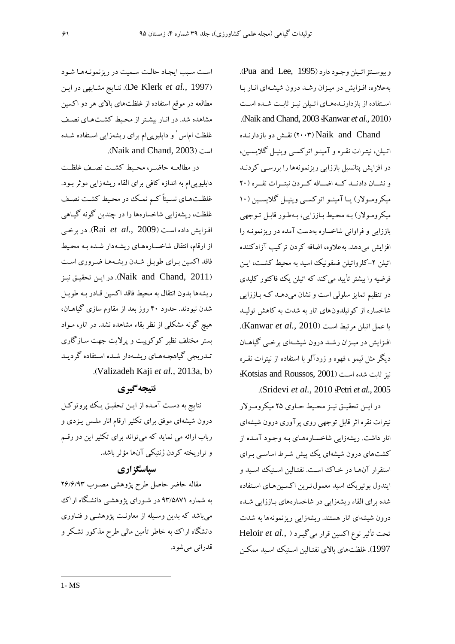و يوسنتز اتيلن وجود دارد (Pua and Lee, 1995). بهعلاوه، افـزايش در ميـزان رشـد درون شيشـهاى انــار بــا اسـتفاده از بازدارنــدههــای اتــیلن نیــز ثابــت شــده اســت .(Naik and Chand, 2003 *Kanwar et al.,* 2010)

تقش دو بازدارنـده) Naik and Chand اتـیلن، نیتـرات نقـره و آمینــو اتوکســی وینیــل گلایســین، در افزایش پتانسیل باززایی ریزنمونهها را بررسـی کردنـد و نشـان دادنــد كــه اضــافه كــردن نيتــرات نقــره (٢٠ میکرومـولار) یــا آمینــو اتوکســی وینیــل گلایســین (۱۰ میکرومولار) به محیط باززایی، بهطور قابل توجهی باززایی و فراوانی شاخساره بهدست آمده در ریزنمونـه را افزایش میدهد. بهعلاوه، اضافه کردن ترکیب آزادکننده اتیلن ۲–کلرواتیلن فسفونیک اسید به محیط کشت، ایـن فرضیه را بیشتر تأیید می کند که اتیلن یک فاکتور کلیدی در تنظیم تمایز سلولی است و نشان میدهـد کـه بـاززایی شاخساره از کوتیلدونهای انار به شدت به کاهش تولیـد يا عمل اتيلن مرتبط است (Kanwar *et al., 2*010). افـزايش در ميـزان رشــد درون شيشــهاي برخــي گياهــان دیگر مثل لیمو ، قهوه و زردآلو با استفاده از نیترات نقـره نيز ثابت شده است (Kotsias and Roussos, 2001): (. Sridevi *et al.,* 2010 p Petri *et al.,* 2005

در ايــن تحقيــق نيــز محـيط حــاوي ٢۵ ميكرومــولار نیترات نقره اثر قابل توجهی روی پرآوری درون شیشهای انار داشت. ریشهزایی شاخسـارههـای بـه وجـود آمـده از کشتهای درون شیشهای یک پیش شـرط اساسـی بـرای استقرار آنهـا در خـاک اسـت. نفتـالين اسـتيک اسـيد و ايندول بوتيريك اسيد معمول تـرين اكسـين&ـاي اسـتفاده شده برای القاء ریشهزایی در شاخسارههای بـاززایی شــده درون شیشهای انار هستند. ریشهزایی ریزنمونهها به شدت تحت تأثير نوع اكسين قرار مي گيرد ( ,Heloir *et al* 1997). غلظتهای بالای نفتـالین اسـتیک اسـید ممکـن

است سبب ایجاد حالت سـمیت در ریزنمونـههـا شـود A9 ^9!? r9" .(De Klerk *et al.,* 1997) مطالعه در موقع استفاده از غلظتهای بالای هر دو اکسین مشاهده شد. در انـار بیشـتر از محـیط کشـتهـای نصـف غلظت ام۱س <sup>۱</sup> و دابلیوپی۱م برای ریشهزایی اسـتفاده شــده .( Naik and Chand, 2003) ,

در مطالعــه حاضــر، محــيط كشــت نصــف غلظــت دابلیوپی۱م به اندازه کافی برای القاء ریشهزایی موثر بـود. غلظـتهـاي نسبتاً كـم نمـك در محـيط كشـت نصـف غلظت، ریشهزایی شاخسارهها را در چندین گونه گیـاهی افـزايش داده اســت (Rai *et al., 2*009). در برخــى از ارقام، انتقال شاخسـارههـای ریشـهدار شــده بــه محــیط فاقد اكسين بـراي طويـل شـدن ريشـههـا ضـروري اسـت در اين تحقيق نيز (Naik and Chand, 2011). ريشهها بدون انتقال به محيط فاقد اكسين قـادر بـه طويـل شدن نبودند. حدود ۴۰ روز بعد از مقاوم سازی گیاهـان، هیچ گونه مشکلی از نظر بقاء مشاهده نشد. در انار، مـواد بستر مختلف نظیر کوکوپیت و پرلایت جهت سـازگاری تـدريجي گياهچـههـاي ريشـهدار شـده اسـتفاده گرديـد (. Valizadeh Kaji *et al.,* 2013a, b)

### **نتيجه گيري**

نتايج به دسـت آمـده از ايــن تحقيــق يــك پروتوكــل درون شیشهای موفق برای تکثیر ارقام انار ملـس یـزدی و رباب ارائه می نماید که می تواند برای تکثیر این دو رقسم و تراریخته کردن ژنتیکی آنها مؤثر باشد.

### **سیاسگز اری**

مقاله حاضر حاصل طرح پژوهشی مصـوب ۲۶/۶/۹۳ به شماره ۹۳/۵۸۷۱ در شـورای پژوهشـی دانشـگاه اراک می باشد که بدین وسـیله از معاونـت یژوهشـی و فنـاوری دانشگاه اراک به خاطر تأمین مالی طرح مذکور تشکر و قدراني مي شو د.

 $\overline{a}$ 1- MS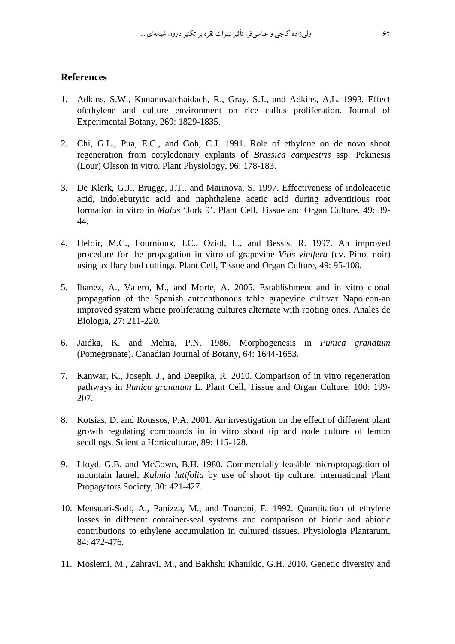### **References**

- 1. Adkins, S.W., Kunanuvatchaidach, R., Gray, S.J., and Adkins, A.L. 1993. Effect ofethylene and culture environment on rice callus proliferation. Journal of Experimental Botany, 269: 1829-1835.
- 2. Chi, G.L., Pua, E.C., and Goh, C.J. 1991. Role of ethylene on de novo shoot regeneration from cotyledonary explants of *Brassica campestris* ssp. Pekinesis (Lour) Olsson in vitro. Plant Physiology, 96: 178-183.
- 3. De Klerk, G.J., Brugge, J.T., and Marinova, S. 1997. Effectiveness of indoleacetic acid, indolebutyric acid and naphthalene acetic acid during adventitious root formation in vitro in *Malus* 'Jork 9'. Plant Cell, Tissue and Organ Culture, 49: 39- 44.
- 4. Heloir, M.C., Fournioux, J.C., Oziol, L., and Bessis, R. 1997. An improved procedure for the propagation in vitro of grapevine *Vitis vinifera* (cv. Pinot noir) using axillary bud cuttings. Plant Cell, Tissue and Organ Culture, 49: 95-108.
- 5. Ibanez, A., Valero, M., and Morte, A. 2005. Establishment and in vitro clonal propagation of the Spanish autochthonous table grapevine cultivar Napoleon-an improved system where proliferating cultures alternate with rooting ones. Anales de Biologia, 27: 211-220.
- 6. Jaidka, K. and Mehra, P.N. 1986. Morphogenesis in *Punica granatum* (Pomegranate). Canadian Journal of Botany, 64: 1644-1653.
- 7. Kanwar, K., Joseph, J., and Deepika, R. 2010. Comparison of in vitro regeneration pathways in *Punica granatum* L. Plant Cell, Tissue and Organ Culture, 100: 199- 207.
- 8. Kotsias, D. and Roussos, P.A. 2001. An investigation on the effect of different plant growth regulating compounds in in vitro shoot tip and node culture of lemon seedlings. Scientia Horticulturae, 89: 115-128.
- 9. Lloyd, G.B. and McCown, B.H. 1980. Commercially feasible micropropagation of mountain laurel, *Kalmia latifolia* by use of shoot tip culture. International Plant Propagators Society, 30: 421-427.
- 10. Mensuari-Sodi, A., Panizza, M., and Tognoni, E. 1992. Quantitation of ethylene losses in different container-seal systems and comparison of biotic and abiotic contributions to ethylene accumulation in cultured tissues. Physiologia Plantarum, 84: 472-476.
- 11. Moslemi, M., Zahravi, M., and Bakhshi Khanikic, G.H. 2010. Genetic diversity and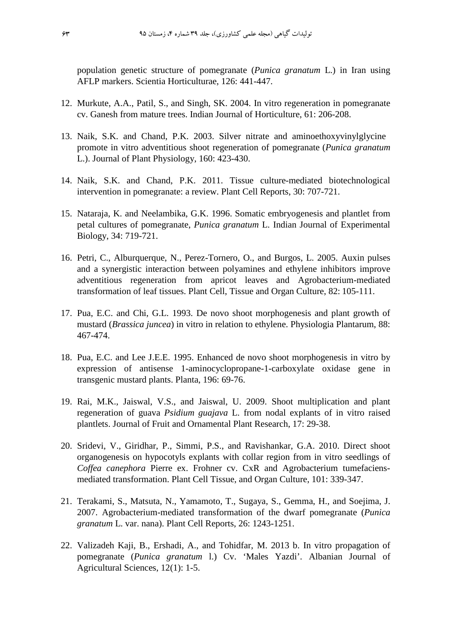population genetic structure of pomegranate (*Punica granatum* L.) in Iran using AFLP markers. Scientia Horticulturae, 126: 441-447.

- 12. Murkute, A.A., Patil, S., and Singh, SK. 2004. In vitro regeneration in pomegranate cv. Ganesh from mature trees. Indian Journal of Horticulture, 61: 206-208.
- 13. Naik, S.K. and Chand, P.K. 2003. Silver nitrate and aminoethoxyvinylglycine promote in vitro adventitious shoot regeneration of pomegranate (*Punica granatum* L.). Journal of Plant Physiology, 160: 423-430.
- 14. Naik, S.K. and Chand, P.K. 2011. Tissue culture-mediated biotechnological intervention in pomegranate: a review. Plant Cell Reports, 30: 707-721.
- 15. Nataraja, K. and Neelambika, G.K. 1996. Somatic embryogenesis and plantlet from petal cultures of pomegranate, *Punica granatum* L. Indian Journal of Experimental Biology, 34: 719-721.
- 16. Petri, C., Alburquerque, N., Perez-Tornero, O., and Burgos, L. 2005. Auxin pulses and a synergistic interaction between polyamines and ethylene inhibitors improve adventitious regeneration from apricot leaves and Agrobacterium-mediated transformation of leaf tissues. Plant Cell, Tissue and Organ Culture, 82: 105-111.
- 17. Pua, E.C. and Chi, G.L. 1993. De novo shoot morphogenesis and plant growth of mustard (*Brassica juncea*) in vitro in relation to ethylene. Physiologia Plantarum, 88: 467-474.
- 18. Pua, E.C. and Lee J.E.E. 1995. Enhanced de novo shoot morphogenesis in vitro by expression of antisense 1-aminocyclopropane-1-carboxylate oxidase gene in transgenic mustard plants. Planta, 196: 69-76.
- 19. Rai, M.K., Jaiswal, V.S., and Jaiswal, U. 2009. Shoot multiplication and plant regeneration of guava *Psidium guajava* L. from nodal explants of in vitro raised plantlets. Journal of Fruit and Ornamental Plant Research, 17: 29-38.
- 20. Sridevi, V., Giridhar, P., Simmi, P.S., and Ravishankar, G.A. 2010. Direct shoot organogenesis on hypocotyls explants with collar region from in vitro seedlings of *Coffea canephora* Pierre ex. Frohner cv. CxR and Agrobacterium tumefaciensmediated transformation. Plant Cell Tissue, and Organ Culture, 101: 339-347.
- 21. Terakami, S., Matsuta, N., Yamamoto, T., Sugaya, S., Gemma, H., and Soejima, J. 2007. Agrobacterium-mediated transformation of the dwarf pomegranate (*Punica granatum* L. var. nana). Plant Cell Reports, 26: 1243-1251.
- 22. Valizadeh Kaji, B., Ershadi, A., and Tohidfar, M. 2013 b. In vitro propagation of pomegranate (*Punica granatum* l.) Cv. 'Males Yazdi'. Albanian Journal of Agricultural Sciences, 12(1): 1-5.